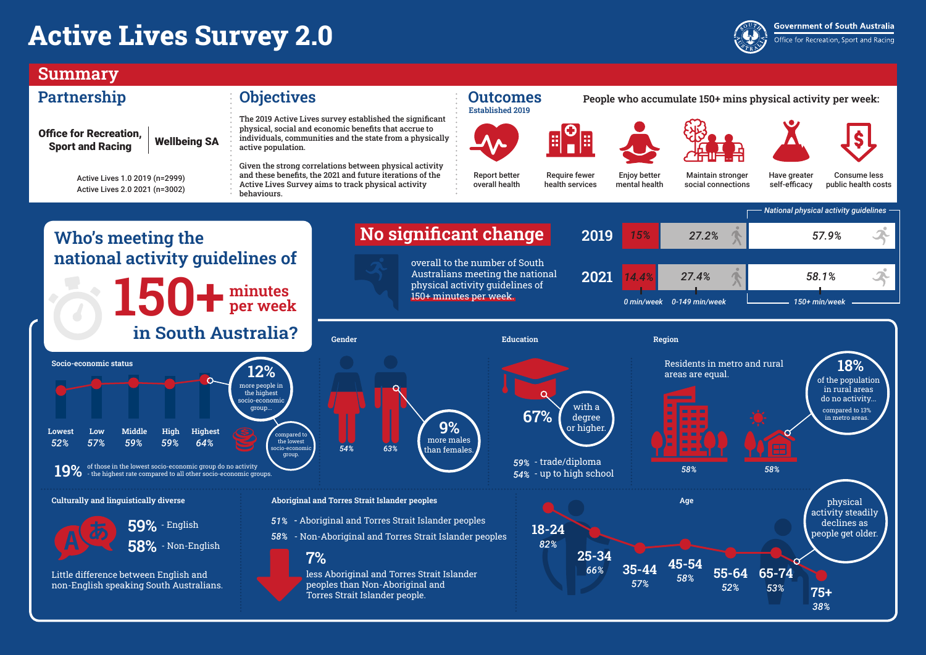## **Active Lives Survey 2.0**

#### **Summary**

#### **Partnership Objectives Outcomes**

## **Established 2019**





#### **People who accumulate 150+ mins physical activity per week:**

The 2019 Active Lives survey established the significant





**Government of South Australia** 

Office for Recreation, Sport and Racing